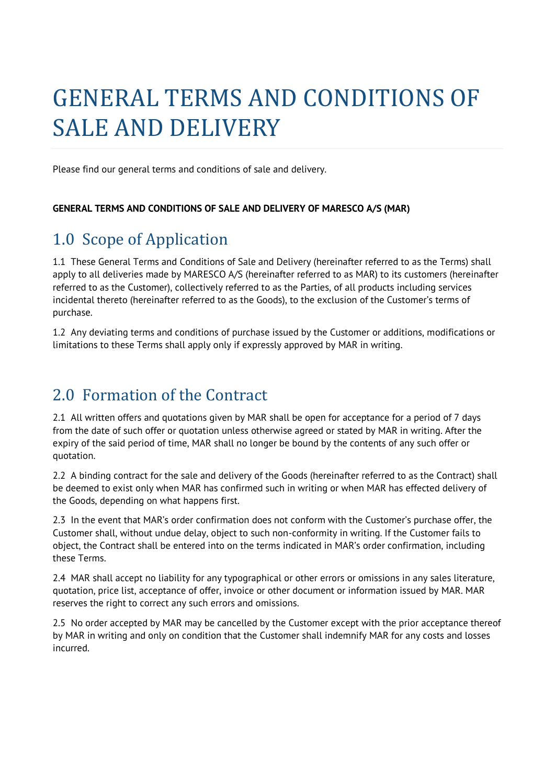# GENERAL TERMS AND CONDITIONS OF SALE AND DELIVERY

Please find our general terms and conditions of sale and delivery.

#### **GENERAL TERMS AND CONDITIONS OF SALE AND DELIVERY OF MARESCO A/S (MAR)**

# 1.0 Scope of Application

1.1 These General Terms and Conditions of Sale and Delivery (hereinafter referred to as the Terms) shall apply to all deliveries made by MARESCO A/S (hereinafter referred to as MAR) to its customers (hereinafter referred to as the Customer), collectively referred to as the Parties, of all products including services incidental thereto (hereinafter referred to as the Goods), to the exclusion of the Customer's terms of purchase.

1.2 Any deviating terms and conditions of purchase issued by the Customer or additions, modifications or limitations to these Terms shall apply only if expressly approved by MAR in writing.

#### 2.0 Formation of the Contract

2.1 All written offers and quotations given by MAR shall be open for acceptance for a period of 7 days from the date of such offer or quotation unless otherwise agreed or stated by MAR in writing. After the expiry of the said period of time, MAR shall no longer be bound by the contents of any such offer or quotation.

2.2 A binding contract for the sale and delivery of the Goods (hereinafter referred to as the Contract) shall be deemed to exist only when MAR has confirmed such in writing or when MAR has effected delivery of the Goods, depending on what happens first.

2.3 In the event that MAR's order confirmation does not conform with the Customer's purchase offer, the Customer shall, without undue delay, object to such non-conformity in writing. If the Customer fails to object, the Contract shall be entered into on the terms indicated in MAR's order confirmation, including these Terms.

2.4 MAR shall accept no liability for any typographical or other errors or omissions in any sales literature, quotation, price list, acceptance of offer, invoice or other document or information issued by MAR. MAR reserves the right to correct any such errors and omissions.

2.5 No order accepted by MAR may be cancelled by the Customer except with the prior acceptance thereof by MAR in writing and only on condition that the Customer shall indemnify MAR for any costs and losses incurred.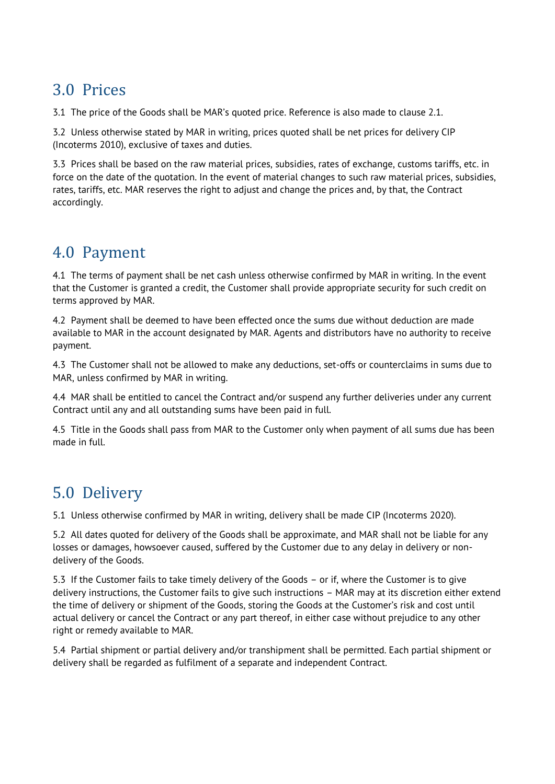# 3.0 Prices

3.1 The price of the Goods shall be MAR's quoted price. Reference is also made to clause 2.1.

3.2 Unless otherwise stated by MAR in writing, prices quoted shall be net prices for delivery CIP (Incoterms 2010), exclusive of taxes and duties.

3.3 Prices shall be based on the raw material prices, subsidies, rates of exchange, customs tariffs, etc. in force on the date of the quotation. In the event of material changes to such raw material prices, subsidies, rates, tariffs, etc. MAR reserves the right to adjust and change the prices and, by that, the Contract accordingly.

#### 4.0 Payment

4.1 The terms of payment shall be net cash unless otherwise confirmed by MAR in writing. In the event that the Customer is granted a credit, the Customer shall provide appropriate security for such credit on terms approved by MAR.

4.2 Payment shall be deemed to have been effected once the sums due without deduction are made available to MAR in the account designated by MAR. Agents and distributors have no authority to receive payment.

4.3 The Customer shall not be allowed to make any deductions, set-offs or counterclaims in sums due to MAR, unless confirmed by MAR in writing.

4.4 MAR shall be entitled to cancel the Contract and/or suspend any further deliveries under any current Contract until any and all outstanding sums have been paid in full.

4.5 Title in the Goods shall pass from MAR to the Customer only when payment of all sums due has been made in full.

# 5.0 Delivery

5.1 Unless otherwise confirmed by MAR in writing, delivery shall be made CIP (Incoterms 2020).

5.2 All dates quoted for delivery of the Goods shall be approximate, and MAR shall not be liable for any losses or damages, howsoever caused, suffered by the Customer due to any delay in delivery or nondelivery of the Goods.

5.3 If the Customer fails to take timely delivery of the Goods – or if, where the Customer is to give delivery instructions, the Customer fails to give such instructions – MAR may at its discretion either extend the time of delivery or shipment of the Goods, storing the Goods at the Customer's risk and cost until actual delivery or cancel the Contract or any part thereof, in either case without prejudice to any other right or remedy available to MAR.

5.4 Partial shipment or partial delivery and/or transhipment shall be permitted. Each partial shipment or delivery shall be regarded as fulfilment of a separate and independent Contract.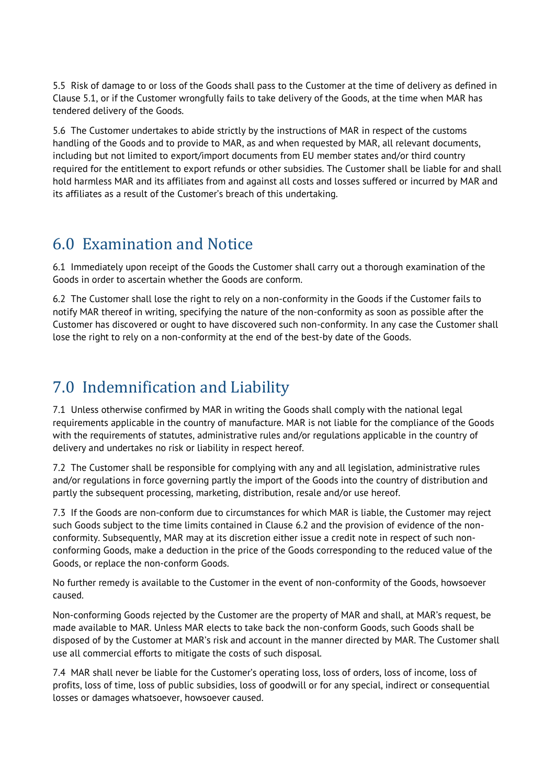5.5 Risk of damage to or loss of the Goods shall pass to the Customer at the time of delivery as defined in Clause 5.1, or if the Customer wrongfully fails to take delivery of the Goods, at the time when MAR has tendered delivery of the Goods.

5.6 The Customer undertakes to abide strictly by the instructions of MAR in respect of the customs handling of the Goods and to provide to MAR, as and when requested by MAR, all relevant documents, including but not limited to export/import documents from EU member states and/or third country required for the entitlement to export refunds or other subsidies. The Customer shall be liable for and shall hold harmless MAR and its affiliates from and against all costs and losses suffered or incurred by MAR and its affiliates as a result of the Customer's breach of this undertaking.

# 6.0 Examination and Notice

6.1 Immediately upon receipt of the Goods the Customer shall carry out a thorough examination of the Goods in order to ascertain whether the Goods are conform.

6.2 The Customer shall lose the right to rely on a non-conformity in the Goods if the Customer fails to notify MAR thereof in writing, specifying the nature of the non-conformity as soon as possible after the Customer has discovered or ought to have discovered such non-conformity. In any case the Customer shall lose the right to rely on a non-conformity at the end of the best-by date of the Goods.

# 7.0 Indemnification and Liability

7.1 Unless otherwise confirmed by MAR in writing the Goods shall comply with the national legal requirements applicable in the country of manufacture. MAR is not liable for the compliance of the Goods with the requirements of statutes, administrative rules and/or regulations applicable in the country of delivery and undertakes no risk or liability in respect hereof.

7.2 The Customer shall be responsible for complying with any and all legislation, administrative rules and/or regulations in force governing partly the import of the Goods into the country of distribution and partly the subsequent processing, marketing, distribution, resale and/or use hereof.

7.3 If the Goods are non-conform due to circumstances for which MAR is liable, the Customer may reject such Goods subject to the time limits contained in Clause 6.2 and the provision of evidence of the nonconformity. Subsequently, MAR may at its discretion either issue a credit note in respect of such nonconforming Goods, make a deduction in the price of the Goods corresponding to the reduced value of the Goods, or replace the non-conform Goods.

No further remedy is available to the Customer in the event of non-conformity of the Goods, howsoever caused.

Non-conforming Goods rejected by the Customer are the property of MAR and shall, at MAR's request, be made available to MAR. Unless MAR elects to take back the non-conform Goods, such Goods shall be disposed of by the Customer at MAR's risk and account in the manner directed by MAR. The Customer shall use all commercial efforts to mitigate the costs of such disposal.

7.4 MAR shall never be liable for the Customer's operating loss, loss of orders, loss of income, loss of profits, loss of time, loss of public subsidies, loss of goodwill or for any special, indirect or consequential losses or damages whatsoever, howsoever caused.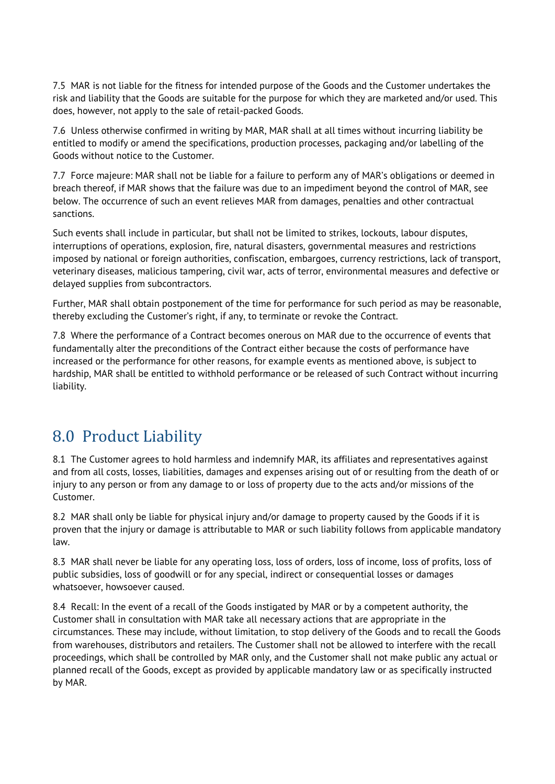7.5 MAR is not liable for the fitness for intended purpose of the Goods and the Customer undertakes the risk and liability that the Goods are suitable for the purpose for which they are marketed and/or used. This does, however, not apply to the sale of retail-packed Goods.

7.6 Unless otherwise confirmed in writing by MAR, MAR shall at all times without incurring liability be entitled to modify or amend the specifications, production processes, packaging and/or labelling of the Goods without notice to the Customer.

7.7 Force majeure: MAR shall not be liable for a failure to perform any of MAR's obligations or deemed in breach thereof, if MAR shows that the failure was due to an impediment beyond the control of MAR, see below. The occurrence of such an event relieves MAR from damages, penalties and other contractual sanctions.

Such events shall include in particular, but shall not be limited to strikes, lockouts, labour disputes, interruptions of operations, explosion, fire, natural disasters, governmental measures and restrictions imposed by national or foreign authorities, confiscation, embargoes, currency restrictions, lack of transport, veterinary diseases, malicious tampering, civil war, acts of terror, environmental measures and defective or delayed supplies from subcontractors.

Further, MAR shall obtain postponement of the time for performance for such period as may be reasonable, thereby excluding the Customer's right, if any, to terminate or revoke the Contract.

7.8 Where the performance of a Contract becomes onerous on MAR due to the occurrence of events that fundamentally alter the preconditions of the Contract either because the costs of performance have increased or the performance for other reasons, for example events as mentioned above, is subject to hardship, MAR shall be entitled to withhold performance or be released of such Contract without incurring liability.

# 8.0 Product Liability

8.1 The Customer agrees to hold harmless and indemnify MAR, its affiliates and representatives against and from all costs, losses, liabilities, damages and expenses arising out of or resulting from the death of or injury to any person or from any damage to or loss of property due to the acts and/or missions of the Customer.

8.2 MAR shall only be liable for physical injury and/or damage to property caused by the Goods if it is proven that the injury or damage is attributable to MAR or such liability follows from applicable mandatory law.

8.3 MAR shall never be liable for any operating loss, loss of orders, loss of income, loss of profits, loss of public subsidies, loss of goodwill or for any special, indirect or consequential losses or damages whatsoever, howsoever caused.

8.4 Recall: In the event of a recall of the Goods instigated by MAR or by a competent authority, the Customer shall in consultation with MAR take all necessary actions that are appropriate in the circumstances. These may include, without limitation, to stop delivery of the Goods and to recall the Goods from warehouses, distributors and retailers. The Customer shall not be allowed to interfere with the recall proceedings, which shall be controlled by MAR only, and the Customer shall not make public any actual or planned recall of the Goods, except as provided by applicable mandatory law or as specifically instructed by MAR.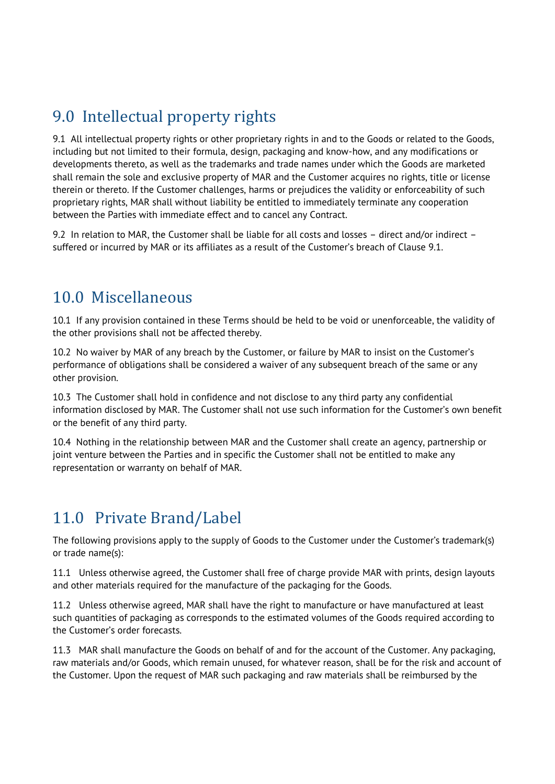# 9.0 Intellectual property rights

9.1 All intellectual property rights or other proprietary rights in and to the Goods or related to the Goods, including but not limited to their formula, design, packaging and know-how, and any modifications or developments thereto, as well as the trademarks and trade names under which the Goods are marketed shall remain the sole and exclusive property of MAR and the Customer acquires no rights, title or license therein or thereto. If the Customer challenges, harms or prejudices the validity or enforceability of such proprietary rights, MAR shall without liability be entitled to immediately terminate any cooperation between the Parties with immediate effect and to cancel any Contract.

9.2 In relation to MAR, the Customer shall be liable for all costs and losses – direct and/or indirect – suffered or incurred by MAR or its affiliates as a result of the Customer's breach of Clause 9.1.

#### 10.0 Miscellaneous

10.1 If any provision contained in these Terms should be held to be void or unenforceable, the validity of the other provisions shall not be affected thereby.

10.2 No waiver by MAR of any breach by the Customer, or failure by MAR to insist on the Customer's performance of obligations shall be considered a waiver of any subsequent breach of the same or any other provision.

10.3 The Customer shall hold in confidence and not disclose to any third party any confidential information disclosed by MAR. The Customer shall not use such information for the Customer's own benefit or the benefit of any third party.

10.4 Nothing in the relationship between MAR and the Customer shall create an agency, partnership or joint venture between the Parties and in specific the Customer shall not be entitled to make any representation or warranty on behalf of MAR.

# 11.0 Private Brand/Label

The following provisions apply to the supply of Goods to the Customer under the Customer's trademark(s) or trade name(s):

11.1 Unless otherwise agreed, the Customer shall free of charge provide MAR with prints, design layouts and other materials required for the manufacture of the packaging for the Goods.

11.2 Unless otherwise agreed, MAR shall have the right to manufacture or have manufactured at least such quantities of packaging as corresponds to the estimated volumes of the Goods required according to the Customer's order forecasts.

11.3 MAR shall manufacture the Goods on behalf of and for the account of the Customer. Any packaging, raw materials and/or Goods, which remain unused, for whatever reason, shall be for the risk and account of the Customer. Upon the request of MAR such packaging and raw materials shall be reimbursed by the